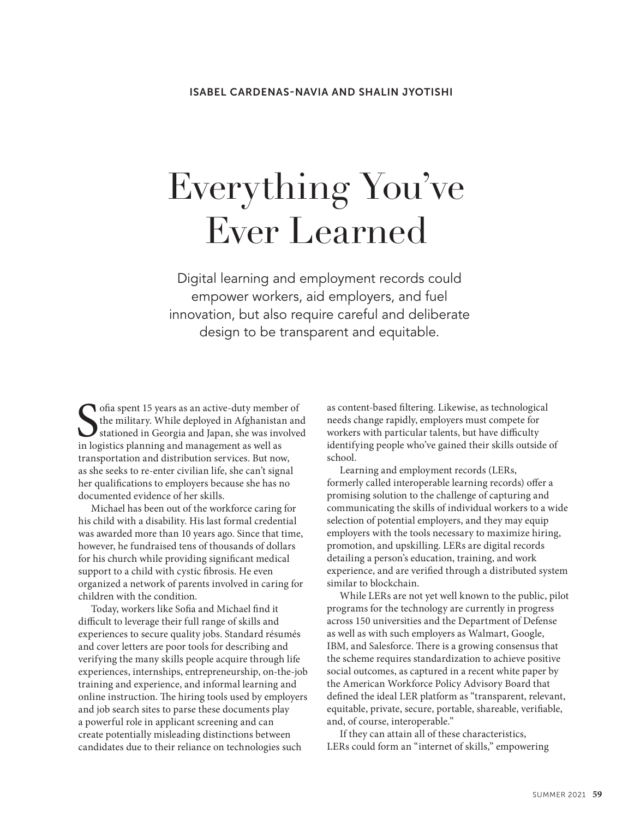# Everything You've Ever Learned

Digital learning and employment records could empower workers, aid employers, and fuel innovation, but also require careful and deliberate design to be transparent and equitable.

 $\sum$  ofia spent 15 years as an active-duty member of<br>the military. While deployed in Afghanistan and<br>stationed in Georgia and Japan, she was involve<br>in logistics planning and management as well as the military. While deployed in Afghanistan and stationed in Georgia and Japan, she was involved in logistics planning and management as well as transportation and distribution services. But now, as she seeks to re-enter civilian life, she can't signal her qualifications to employers because she has no documented evidence of her skills.

Michael has been out of the workforce caring for his child with a disability. His last formal credential was awarded more than 10 years ago. Since that time, however, he fundraised tens of thousands of dollars for his church while providing significant medical support to a child with cystic fibrosis. He even organized a network of parents involved in caring for children with the condition.

Today, workers like Sofia and Michael find it difficult to leverage their full range of skills and experiences to secure quality jobs. Standard résumés and cover letters are poor tools for describing and verifying the many skills people acquire through life experiences, internships, entrepreneurship, on-the-job training and experience, and informal learning and online instruction. The hiring tools used by employers and job search sites to parse these documents play a powerful role in applicant screening and can create potentially misleading distinctions between candidates due to their reliance on technologies such

as content-based filtering. Likewise, as technological needs change rapidly, employers must compete for workers with particular talents, but have difficulty identifying people who've gained their skills outside of school.

Learning and employment records (LERs, formerly called interoperable learning records) offer a promising solution to the challenge of capturing and communicating the skills of individual workers to a wide selection of potential employers, and they may equip employers with the tools necessary to maximize hiring, promotion, and upskilling. LERs are digital records detailing a person's education, training, and work experience, and are verified through a distributed system similar to blockchain.

While LERs are not yet well known to the public, pilot programs for the technology are currently in progress across 150 universities and the Department of Defense as well as with such employers as Walmart, Google, IBM, and Salesforce. There is a growing consensus that the scheme requires standardization to achieve positive social outcomes, as captured in a recent white paper by the American Workforce Policy Advisory Board that defined the ideal LER platform as "transparent, relevant, equitable, private, secure, portable, shareable, verifiable, and, of course, interoperable."

If they can attain all of these characteristics, LERs could form an "internet of skills," empowering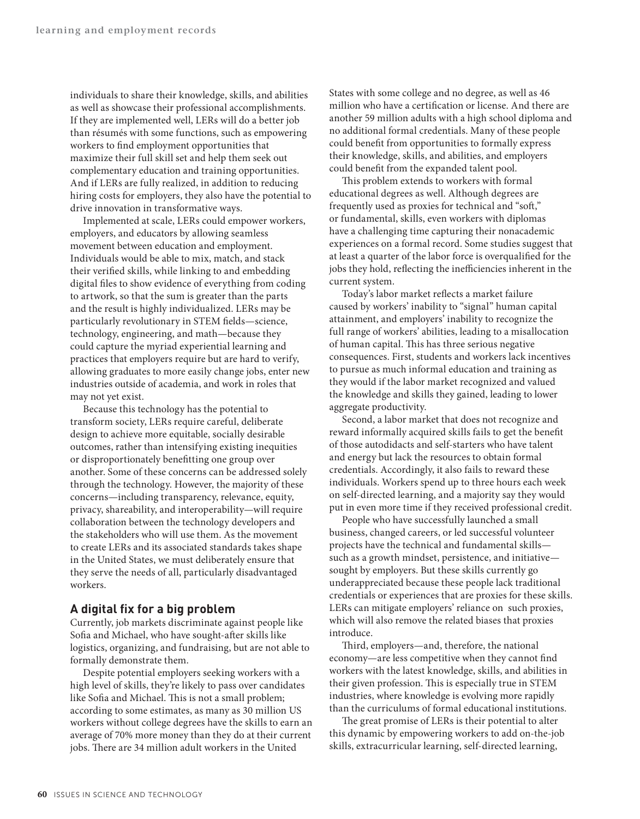individuals to share their knowledge, skills, and abilities as well as showcase their professional accomplishments. If they are implemented well, LERs will do a better job than résumés with some functions, such as empowering workers to find employment opportunities that maximize their full skill set and help them seek out complementary education and training opportunities. And if LERs are fully realized, in addition to reducing hiring costs for employers, they also have the potential to drive innovation in transformative ways.

Implemented at scale, LERs could empower workers, employers, and educators by allowing seamless movement between education and employment. Individuals would be able to mix, match, and stack their verified skills, while linking to and embedding digital files to show evidence of everything from coding to artwork, so that the sum is greater than the parts and the result is highly individualized. LERs may be particularly revolutionary in STEM fields—science, technology, engineering, and math—because they could capture the myriad experiential learning and practices that employers require but are hard to verify, allowing graduates to more easily change jobs, enter new industries outside of academia, and work in roles that may not yet exist.

Because this technology has the potential to transform society, LERs require careful, deliberate design to achieve more equitable, socially desirable outcomes, rather than intensifying existing inequities or disproportionately benefitting one group over another. Some of these concerns can be addressed solely through the technology. However, the majority of these concerns—including transparency, relevance, equity, privacy, shareability, and interoperability—will require collaboration between the technology developers and the stakeholders who will use them. As the movement to create LERs and its associated standards takes shape in the United States, we must deliberately ensure that they serve the needs of all, particularly disadvantaged workers.

### **A digital fix for a big problem**

Currently, job markets discriminate against people like Sofia and Michael, who have sought-after skills like logistics, organizing, and fundraising, but are not able to formally demonstrate them.

Despite potential employers seeking workers with a high level of skills, they're likely to pass over candidates like Sofia and Michael. This is not a small problem; according to some estimates, as many as 30 million US workers without college degrees have the skills to earn an average of 70% more money than they do at their current jobs. There are 34 million adult workers in the United

States with some college and no degree, as well as 46 million who have a certification or license. And there are another 59 million adults with a high school diploma and no additional formal credentials. Many of these people could benefit from opportunities to formally express their knowledge, skills, and abilities, and employers could benefit from the expanded talent pool.

This problem extends to workers with formal educational degrees as well. Although degrees are frequently used as proxies for technical and "soft," or fundamental, skills, even workers with diplomas have a challenging time capturing their nonacademic experiences on a formal record. Some studies suggest that at least a quarter of the labor force is overqualified for the jobs they hold, reflecting the inefficiencies inherent in the current system.

Today's labor market reflects a market failure caused by workers' inability to "signal" human capital attainment, and employers' inability to recognize the full range of workers' abilities, leading to a misallocation of human capital. This has three serious negative consequences. First, students and workers lack incentives to pursue as much informal education and training as they would if the labor market recognized and valued the knowledge and skills they gained, leading to lower aggregate productivity.

Second, a labor market that does not recognize and reward informally acquired skills fails to get the benefit of those autodidacts and self-starters who have talent and energy but lack the resources to obtain formal credentials. Accordingly, it also fails to reward these individuals. Workers spend up to three hours each week on self-directed learning, and a majority say they would put in even more time if they received professional credit.

People who have successfully launched a small business, changed careers, or led successful volunteer projects have the technical and fundamental skills such as a growth mindset, persistence, and initiative sought by employers. But these skills currently go underappreciated because these people lack traditional credentials or experiences that are proxies for these skills. LERs can mitigate employers' reliance on such proxies, which will also remove the related biases that proxies introduce.

Third, employers—and, therefore, the national economy—are less competitive when they cannot find workers with the latest knowledge, skills, and abilities in their given profession. This is especially true in STEM industries, where knowledge is evolving more rapidly than the curriculums of formal educational institutions.

The great promise of LERs is their potential to alter this dynamic by empowering workers to add on-the-job skills, extracurricular learning, self-directed learning,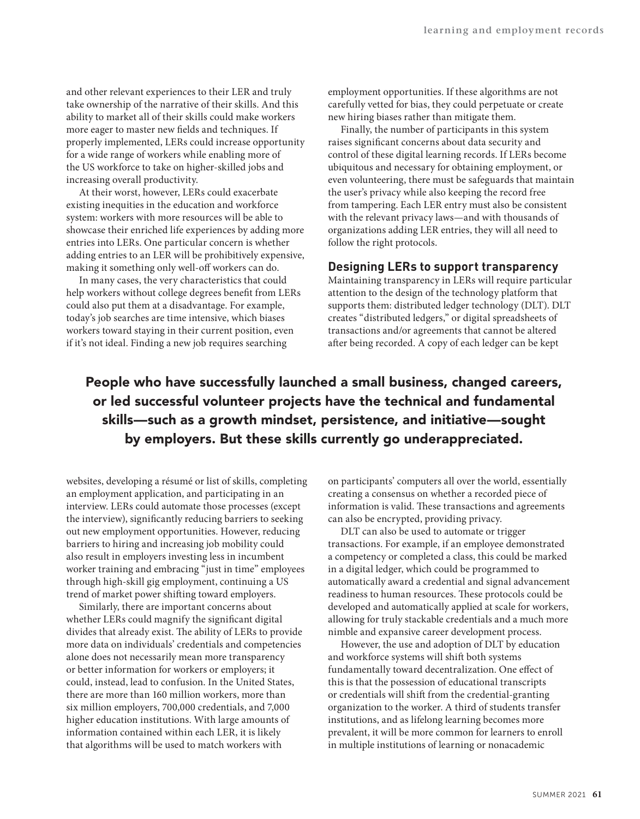and other relevant experiences to their LER and truly take ownership of the narrative of their skills. And this ability to market all of their skills could make workers more eager to master new fields and techniques. If properly implemented, LERs could increase opportunity for a wide range of workers while enabling more of the US workforce to take on higher-skilled jobs and increasing overall productivity.

At their worst, however, LERs could exacerbate existing inequities in the education and workforce system: workers with more resources will be able to showcase their enriched life experiences by adding more entries into LERs. One particular concern is whether adding entries to an LER will be prohibitively expensive, making it something only well-off workers can do.

In many cases, the very characteristics that could help workers without college degrees benefit from LERs could also put them at a disadvantage. For example, today's job searches are time intensive, which biases workers toward staying in their current position, even if it's not ideal. Finding a new job requires searching

employment opportunities. If these algorithms are not carefully vetted for bias, they could perpetuate or create new hiring biases rather than mitigate them.

Finally, the number of participants in this system raises significant concerns about data security and control of these digital learning records. If LERs become ubiquitous and necessary for obtaining employment, or even volunteering, there must be safeguards that maintain the user's privacy while also keeping the record free from tampering. Each LER entry must also be consistent with the relevant privacy laws—and with thousands of organizations adding LER entries, they will all need to follow the right protocols.

## **Designing LERs to support transparency**

Maintaining transparency in LERs will require particular attention to the design of the technology platform that supports them: distributed ledger technology (DLT). DLT creates "distributed ledgers," or digital spreadsheets of transactions and/or agreements that cannot be altered after being recorded. A copy of each ledger can be kept

# People who have successfully launched a small business, changed careers, or led successful volunteer projects have the technical and fundamental skills—such as a growth mindset, persistence, and initiative—sought by employers. But these skills currently go underappreciated.

websites, developing a résumé or list of skills, completing an employment application, and participating in an interview. LERs could automate those processes (except the interview), significantly reducing barriers to seeking out new employment opportunities. However, reducing barriers to hiring and increasing job mobility could also result in employers investing less in incumbent worker training and embracing "just in time" employees through high-skill gig employment, continuing a US trend of market power shifting toward employers.

Similarly, there are important concerns about whether LERs could magnify the significant digital divides that already exist. The ability of LERs to provide more data on individuals' credentials and competencies alone does not necessarily mean more transparency or better information for workers or employers; it could, instead, lead to confusion. In the United States, there are more than 160 million workers, more than six million employers, 700,000 credentials, and 7,000 higher education institutions. With large amounts of information contained within each LER, it is likely that algorithms will be used to match workers with

on participants' computers all over the world, essentially creating a consensus on whether a recorded piece of information is valid. These transactions and agreements can also be encrypted, providing privacy.

DLT can also be used to automate or trigger transactions. For example, if an employee demonstrated a competency or completed a class, this could be marked in a digital ledger, which could be programmed to automatically award a credential and signal advancement readiness to human resources. These protocols could be developed and automatically applied at scale for workers, allowing for truly stackable credentials and a much more nimble and expansive career development process.

However, the use and adoption of DLT by education and workforce systems will shift both systems fundamentally toward decentralization. One effect of this is that the possession of educational transcripts or credentials will shift from the credential-granting organization to the worker. A third of students transfer institutions, and as lifelong learning becomes more prevalent, it will be more common for learners to enroll in multiple institutions of learning or nonacademic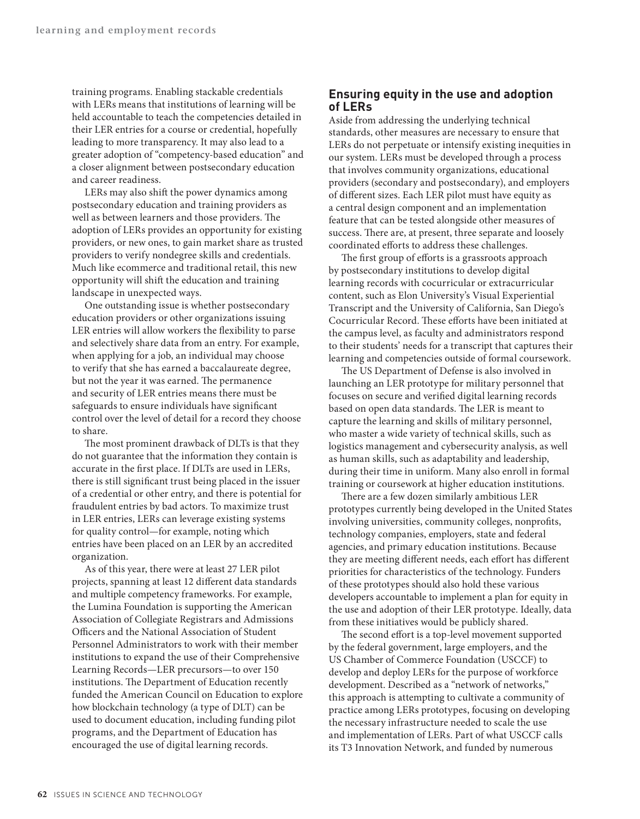training programs. Enabling stackable credentials with LERs means that institutions of learning will be held accountable to teach the competencies detailed in their LER entries for a course or credential, hopefully leading to more transparency. It may also lead to a greater adoption of "competency-based education" and a closer alignment between postsecondary education and career readiness.

LERs may also shift the power dynamics among postsecondary education and training providers as well as between learners and those providers. The adoption of LERs provides an opportunity for existing providers, or new ones, to gain market share as trusted providers to verify nondegree skills and credentials. Much like ecommerce and traditional retail, this new opportunity will shift the education and training landscape in unexpected ways.

One outstanding issue is whether postsecondary education providers or other organizations issuing LER entries will allow workers the flexibility to parse and selectively share data from an entry. For example, when applying for a job, an individual may choose to verify that she has earned a baccalaureate degree, but not the year it was earned. The permanence and security of LER entries means there must be safeguards to ensure individuals have significant control over the level of detail for a record they choose to share.

The most prominent drawback of DLTs is that they do not guarantee that the information they contain is accurate in the first place. If DLTs are used in LERs, there is still significant trust being placed in the issuer of a credential or other entry, and there is potential for fraudulent entries by bad actors. To maximize trust in LER entries, LERs can leverage existing systems for quality control—for example, noting which entries have been placed on an LER by an accredited organization.

As of this year, there were at least 27 LER pilot projects, spanning at least 12 different data standards and multiple competency frameworks. For example, the Lumina Foundation is supporting the American Association of Collegiate Registrars and Admissions Officers and the National Association of Student Personnel Administrators to work with their member institutions to expand the use of their Comprehensive Learning Records—LER precursors—to over 150 institutions. The Department of Education recently funded the American Council on Education to explore how blockchain technology (a type of DLT) can be used to document education, including funding pilot programs, and the Department of Education has encouraged the use of digital learning records.

## **Ensuring equity in the use and adoption of LERs**

Aside from addressing the underlying technical standards, other measures are necessary to ensure that LERs do not perpetuate or intensify existing inequities in our system. LERs must be developed through a process that involves community organizations, educational providers (secondary and postsecondary), and employers of different sizes. Each LER pilot must have equity as a central design component and an implementation feature that can be tested alongside other measures of success. There are, at present, three separate and loosely coordinated efforts to address these challenges.

The first group of efforts is a grassroots approach by postsecondary institutions to develop digital learning records with cocurricular or extracurricular content, such as Elon University's Visual Experiential Transcript and the University of California, San Diego's Cocurricular Record. These efforts have been initiated at the campus level, as faculty and administrators respond to their students' needs for a transcript that captures their learning and competencies outside of formal coursework.

The US Department of Defense is also involved in launching an LER prototype for military personnel that focuses on secure and verified digital learning records based on open data standards. The LER is meant to capture the learning and skills of military personnel, who master a wide variety of technical skills, such as logistics management and cybersecurity analysis, as well as human skills, such as adaptability and leadership, during their time in uniform. Many also enroll in formal training or coursework at higher education institutions.

There are a few dozen similarly ambitious LER prototypes currently being developed in the United States involving universities, community colleges, nonprofits, technology companies, employers, state and federal agencies, and primary education institutions. Because they are meeting different needs, each effort has different priorities for characteristics of the technology. Funders of these prototypes should also hold these various developers accountable to implement a plan for equity in the use and adoption of their LER prototype. Ideally, data from these initiatives would be publicly shared.

The second effort is a top-level movement supported by the federal government, large employers, and the US Chamber of Commerce Foundation (USCCF) to develop and deploy LERs for the purpose of workforce development. Described as a "network of networks," this approach is attempting to cultivate a community of practice among LERs prototypes, focusing on developing the necessary infrastructure needed to scale the use and implementation of LERs. Part of what USCCF calls its T3 Innovation Network, and funded by numerous